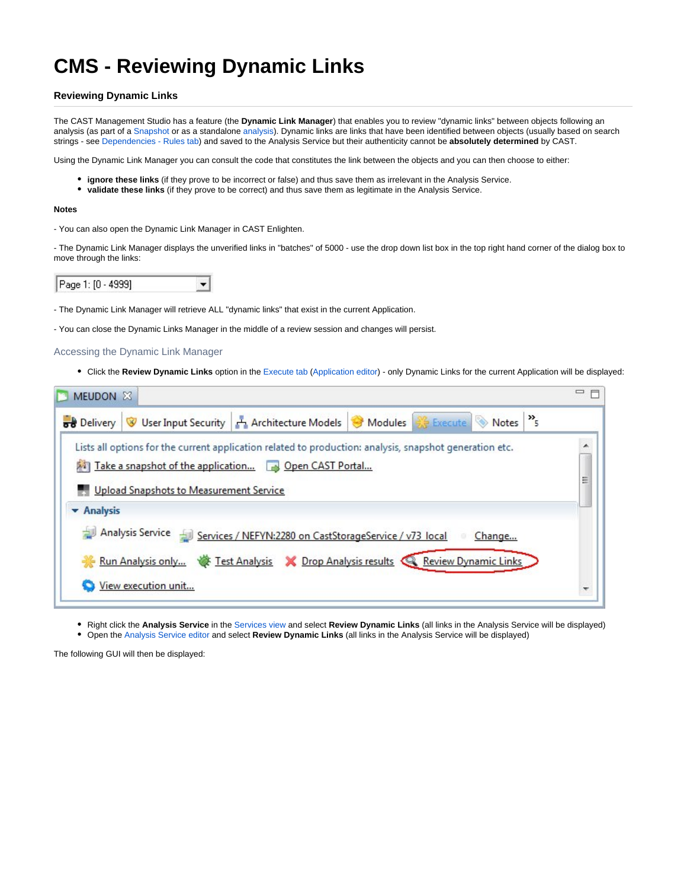# **CMS - Reviewing Dynamic Links**

# **Reviewing Dynamic Links**

The CAST Management Studio has a feature (the **Dynamic Link Manager**) that enables you to review "dynamic links" between objects following an analysis (as part of a [Snapshot](https://doc.castsoftware.com/display/DOC83/CMS+-+Generate+a+Snapshot) or as a standalone [analysis\)](https://doc.castsoftware.com/display/DOC83/CMS+-+Run+analysis+only). Dynamic links are links that have been identified between objects (usually based on search strings - see [Dependencies - Rules tab](https://doc.castsoftware.com/display/DOC83/CMS+-+Dependencies+-+Rules+tab)) and saved to the Analysis Service but their authenticity cannot be **absolutely determined** by CAST.

Using the Dynamic Link Manager you can consult the code that constitutes the link between the objects and you can then choose to either:

- **ignore these links** (if they prove to be incorrect or false) and thus save them as irrelevant in the Analysis Service.
- **validate these links** (if they prove to be correct) and thus save them as legitimate in the Analysis Service.

#### **Notes**

- You can also open the Dynamic Link Manager in CAST Enlighten.

- The Dynamic Link Manager displays the unverified links in "batches" of 5000 - use the drop down list box in the top right hand corner of the dialog box to move through the links:



- The Dynamic Link Manager will retrieve ALL "dynamic links" that exist in the current Application.

- You can close the Dynamic Links Manager in the middle of a review session and changes will persist.

Accessing the Dynamic Link Manager

Click the **Review Dynamic Links** option in the [Execute tab](https://doc.castsoftware.com/display/DOC83/CMS+-+Execute+tab) [\(Application editor\)](https://doc.castsoftware.com/display/DOC83/CMS+-+Application+editor) - only Dynamic Links for the current Application will be displayed:

| MEUDON X                                                                                                                                                                                                   | $\qquad \qquad =$             |
|------------------------------------------------------------------------------------------------------------------------------------------------------------------------------------------------------------|-------------------------------|
| but Delivery V User Input Security   Architecture Models   Modules   Execute Notes   $\%$ Execute Notes   $\%$                                                                                             |                               |
| Lists all options for the current application related to production: analysis, snapshot generation etc.<br>Take a snapshot of the application Depen CAST Portal<br>Upload Snapshots to Measurement Service | $\overline{\phantom{a}}$<br>Ë |
| <b>v</b> Analysis                                                                                                                                                                                          |                               |
| Analysis Service Services / NEFYN:2280 on CastStorageService / v73 local<br>Change<br>$\frac{1}{2}$<br>Run Analysis only W Test Analysis X Drop Analysis results Review Dynamic Links                      |                               |
| View execution unit                                                                                                                                                                                        |                               |

**Right click the Analysis Service** in the [Services view](https://doc.castsoftware.com/display/DOC83/CMS+-+Services+view) and select Review Dynamic Links (all links in the Analysis Service will be displayed) Open the [Analysis Service editor](https://doc.castsoftware.com/display/DOC83/CMS+-+Analysis+Service+editor) and select **Review Dynamic Links** (all links in the Analysis Service will be displayed)

The following GUI will then be displayed: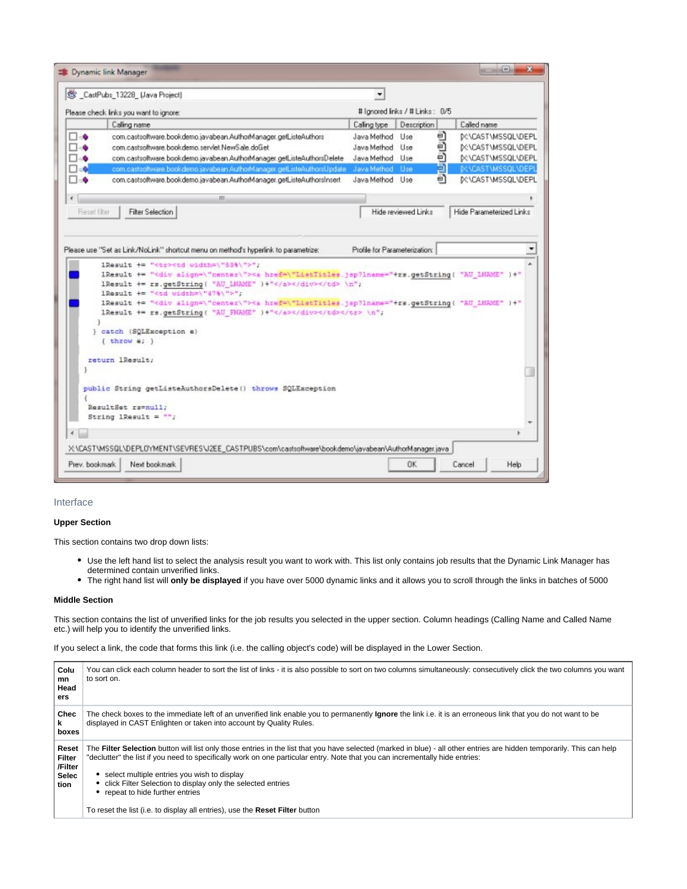|                                                                                                                                                                                                              | CastPubs 13228 [Java Project]                                                                                                                                                                                                                                                                                                                                                                                                                                                                                                                                                                                                                                                                       |                                                                                                                                                                                                              |                                |    |                                  |  |  |  |                                         |                                                                                                                                                                          |  |  |  |  |  |
|--------------------------------------------------------------------------------------------------------------------------------------------------------------------------------------------------------------|-----------------------------------------------------------------------------------------------------------------------------------------------------------------------------------------------------------------------------------------------------------------------------------------------------------------------------------------------------------------------------------------------------------------------------------------------------------------------------------------------------------------------------------------------------------------------------------------------------------------------------------------------------------------------------------------------------|--------------------------------------------------------------------------------------------------------------------------------------------------------------------------------------------------------------|--------------------------------|----|----------------------------------|--|--|--|-----------------------------------------|--------------------------------------------------------------------------------------------------------------------------------------------------------------------------|--|--|--|--|--|
|                                                                                                                                                                                                              | Please check links you want to ignore:                                                                                                                                                                                                                                                                                                                                                                                                                                                                                                                                                                                                                                                              |                                                                                                                                                                                                              | # lancred links / # Links: 0/5 |    |                                  |  |  |  |                                         |                                                                                                                                                                          |  |  |  |  |  |
|                                                                                                                                                                                                              | Caling name                                                                                                                                                                                                                                                                                                                                                                                                                                                                                                                                                                                                                                                                                         | Caling type:                                                                                                                                                                                                 | Description                    |    | Called name                      |  |  |  |                                         |                                                                                                                                                                          |  |  |  |  |  |
| $\Box$ -0                                                                                                                                                                                                    | com.castsoftware.book.demo.javabean.AuthorManager.getListeAuthors                                                                                                                                                                                                                                                                                                                                                                                                                                                                                                                                                                                                                                   | Java Method Use                                                                                                                                                                                              |                                | a  | <b>IX:\CAST\MSSOL\DEPL</b>       |  |  |  |                                         |                                                                                                                                                                          |  |  |  |  |  |
| Π⊣ο                                                                                                                                                                                                          | com castsoftware.book.demo.servlet.NewSale.doGet                                                                                                                                                                                                                                                                                                                                                                                                                                                                                                                                                                                                                                                    | Java Method Use                                                                                                                                                                                              |                                | ම  | <b>IX:\CAST\MSSQL\DEPL</b>       |  |  |  |                                         |                                                                                                                                                                          |  |  |  |  |  |
| ⊓∍≐                                                                                                                                                                                                          | com castsoftware.bookdemo.javabean.AuthorManager.getListeAuthorsDelete                                                                                                                                                                                                                                                                                                                                                                                                                                                                                                                                                                                                                              | Java Method Use                                                                                                                                                                                              |                                | e) | <b>IX:\CAST\MSSQL\DEPL</b>       |  |  |  |                                         |                                                                                                                                                                          |  |  |  |  |  |
| Π∈Δ                                                                                                                                                                                                          | com castsoftware.book.demo.javabean.AuthorManager.getListeAuthorsUpdate Java Method Use                                                                                                                                                                                                                                                                                                                                                                                                                                                                                                                                                                                                             |                                                                                                                                                                                                              |                                | a  | <b><i>DESCASTMISSQUIDEPL</i></b> |  |  |  |                                         |                                                                                                                                                                          |  |  |  |  |  |
| ⊡⊲Φ                                                                                                                                                                                                          | com.castsoftware.book.demo.javabean.AuthorManager.getListeAuthorsInsert                                                                                                                                                                                                                                                                                                                                                                                                                                                                                                                                                                                                                             | Java Method Use                                                                                                                                                                                              |                                | e) | <b><i>DENCASTIMSSOLVDEPL</i></b> |  |  |  |                                         |                                                                                                                                                                          |  |  |  |  |  |
| $\epsilon$                                                                                                                                                                                                   | HI.                                                                                                                                                                                                                                                                                                                                                                                                                                                                                                                                                                                                                                                                                                 |                                                                                                                                                                                                              |                                |    |                                  |  |  |  |                                         |                                                                                                                                                                          |  |  |  |  |  |
| Reset filter                                                                                                                                                                                                 | <b>Fiber Selection</b>                                                                                                                                                                                                                                                                                                                                                                                                                                                                                                                                                                                                                                                                              |                                                                                                                                                                                                              | Hide reviewed Links            |    | Hide Parameterized Links         |  |  |  |                                         |                                                                                                                                                                          |  |  |  |  |  |
|                                                                                                                                                                                                              | Please use "Set as Link/NoLink" shortcut menu on method's hyperlink to parametrize:<br>1Result += " <tr><td width='\"53%\"'>";<br/>IResult += "<div align='\"center\"'><a "au_lname"="" )+"<="" href='\"ListTitles.jsp?lname="+rs.getString(' th=""><th>Profile for Parameterization:</th><th></th><th></th><th></th><th></th></a></div></td></tr> <tr><td></td><td>lResult += rs.getString( "AU LNAME" )+"</td> \n";<br/>1Result += "<td width='\"47%\"'>";<br/>1Result += "<div align='\"center\"'><a "au="" )+"<br="" href='\"ListTitles.jsp?lname="+rs.getString(' lname"="">lResult += rs.getString( "AU FNAME" )+"</a></div></td></tr> \n"; <td></td> <td></td> <td></td> <td></td> <td></td> | ";<br>IResult += " <div align='\"center\"'><a "au_lname"="" )+"<="" href='\"ListTitles.jsp?lname="+rs.getString(' th=""><th>Profile for Parameterization:</th><th></th><th></th><th></th><th></th></a></div> | Profile for Parameterization:  |    |                                  |  |  |  | lResult += rs.getString( "AU LNAME" )+" | ";<br>1Result += " <div align='\"center\"'><a "au="" )+"<br="" href='\"ListTitles.jsp?lname="+rs.getString(' lname"="">lResult += rs.getString( "AU FNAME" )+"</a></div> |  |  |  |  |  |
| ";<br>IResult += " <div align='\"center\"'><a "au_lname"="" )+"<="" href='\"ListTitles.jsp?lname="+rs.getString(' th=""><th>Profile for Parameterization:</th><th></th><th></th><th></th><th></th></a></div> | Profile for Parameterization:                                                                                                                                                                                                                                                                                                                                                                                                                                                                                                                                                                                                                                                                       |                                                                                                                                                                                                              |                                |    |                                  |  |  |  |                                         |                                                                                                                                                                          |  |  |  |  |  |
|                                                                                                                                                                                                              | lResult += rs.getString( "AU LNAME" )+"                                                                                                                                                                                                                                                                                                                                                                                                                                                                                                                                                                                                                                                             | ";<br>1Result += " <div align='\"center\"'><a "au="" )+"<br="" href='\"ListTitles.jsp?lname="+rs.getString(' lname"="">lResult += rs.getString( "AU FNAME" )+"</a></div>                                     |                                |    |                                  |  |  |  |                                         |                                                                                                                                                                          |  |  |  |  |  |
|                                                                                                                                                                                                              | } catch (SQLException e)<br>{ throw e; }                                                                                                                                                                                                                                                                                                                                                                                                                                                                                                                                                                                                                                                            |                                                                                                                                                                                                              |                                |    |                                  |  |  |  |                                         |                                                                                                                                                                          |  |  |  |  |  |
|                                                                                                                                                                                                              | return lResult;                                                                                                                                                                                                                                                                                                                                                                                                                                                                                                                                                                                                                                                                                     |                                                                                                                                                                                                              |                                |    |                                  |  |  |  |                                         |                                                                                                                                                                          |  |  |  |  |  |
|                                                                                                                                                                                                              |                                                                                                                                                                                                                                                                                                                                                                                                                                                                                                                                                                                                                                                                                                     |                                                                                                                                                                                                              |                                |    |                                  |  |  |  |                                         |                                                                                                                                                                          |  |  |  |  |  |
|                                                                                                                                                                                                              |                                                                                                                                                                                                                                                                                                                                                                                                                                                                                                                                                                                                                                                                                                     |                                                                                                                                                                                                              |                                |    |                                  |  |  |  |                                         |                                                                                                                                                                          |  |  |  |  |  |
|                                                                                                                                                                                                              | public String getListeAuthorsDelete() throws SQLException                                                                                                                                                                                                                                                                                                                                                                                                                                                                                                                                                                                                                                           |                                                                                                                                                                                                              |                                |    |                                  |  |  |  |                                         |                                                                                                                                                                          |  |  |  |  |  |
|                                                                                                                                                                                                              | ResultSet rs=null;                                                                                                                                                                                                                                                                                                                                                                                                                                                                                                                                                                                                                                                                                  |                                                                                                                                                                                                              |                                |    |                                  |  |  |  |                                         |                                                                                                                                                                          |  |  |  |  |  |
|                                                                                                                                                                                                              | String 1Result = $"$ ;                                                                                                                                                                                                                                                                                                                                                                                                                                                                                                                                                                                                                                                                              |                                                                                                                                                                                                              |                                |    |                                  |  |  |  |                                         |                                                                                                                                                                          |  |  |  |  |  |
|                                                                                                                                                                                                              |                                                                                                                                                                                                                                                                                                                                                                                                                                                                                                                                                                                                                                                                                                     |                                                                                                                                                                                                              |                                |    |                                  |  |  |  |                                         |                                                                                                                                                                          |  |  |  |  |  |

## Interface

## **Upper Section**

This section contains two drop down lists:

- Use the left hand list to select the analysis result you want to work with. This list only contains job results that the Dynamic Link Manager has determined contain unverified links.
- The right hand list will **only be displayed** if you have over 5000 dynamic links and it allows you to scroll through the links in batches of 5000

# **Middle Section**

This section contains the list of unverified links for the job results you selected in the upper section. Column headings (Calling Name and Called Name etc.) will help you to identify the unverified links.

If you select a link, the code that forms this link (i.e. the calling object's code) will be displayed in the Lower Section.

| Colu<br>mn<br>Head<br>ers                   | You can click each column header to sort the list of links - it is also possible to sort on two columns simultaneously: consecutively click the two columns you want<br>to sort on.                                                                                                                                                                                                                                                                                                                                                      |
|---------------------------------------------|------------------------------------------------------------------------------------------------------------------------------------------------------------------------------------------------------------------------------------------------------------------------------------------------------------------------------------------------------------------------------------------------------------------------------------------------------------------------------------------------------------------------------------------|
| Chec<br>k<br>boxes                          | The check boxes to the immediate left of an unverified link enable you to permanently <b>Ignore</b> the link i.e. it is an erroneous link that you do not want to be<br>displayed in CAST Enlighten or taken into account by Quality Rules.                                                                                                                                                                                                                                                                                              |
| Reset<br>Filter<br>/Filter<br>Selec<br>tion | The Filter Selection button will list only those entries in the list that you have selected (marked in blue) - all other entries are hidden temporarily. This can help<br>"declutter" the list if you need to specifically work on one particular entry. Note that you can incrementally hide entries:<br>select multiple entries you wish to display<br>click Filter Selection to display only the selected entries<br>• repeat to hide further entries<br>To reset the list (i.e. to display all entries), use the Reset Filter button |